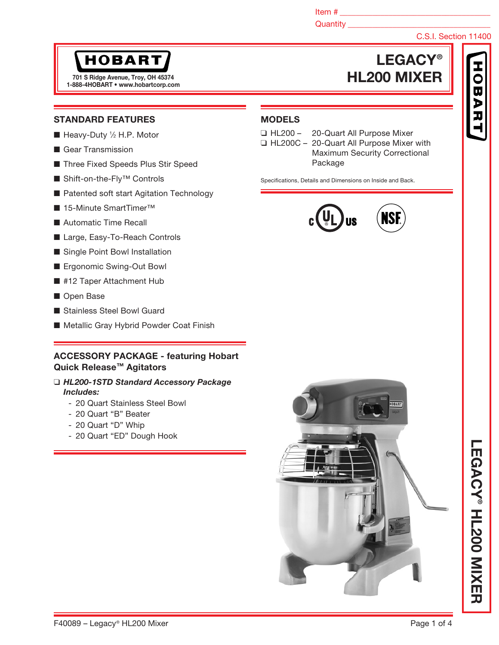Item  $\#$ 

MODELS

## Quantity **Quantity**

❑ HL200 – 20-Quart All Purpose Mixer ❑ HL200C – 20-Quart All Purpose Mixer with

Specifications, Details and Dimensions on Inside and Back.

Package

## C.S.I. Section 11400

# **HOBART**

1-888-4HOBART • www.hobartcorp.com

## LEGACY® 701 S Ridge Avenue, Troy, OH 45374 **HL200 MIXER**

**ISI** 

## STANDARD FEATURES

- Heavy-Duty 1/2 H.P. Motor
- Gear Transmission
- Three Fixed Speeds Plus Stir Speed
- Shift-on-the-Fly<sup>™</sup> Controls
- Patented soft start Agitation Technology
- 15-Minute SmartTimer<sup>™</sup>
- Automatic Time Recall
- Large, Easy-To-Reach Controls
- Single Point Bowl Installation
- Ergonomic Swing-Out Bowl
- #12 Taper Attachment Hub
- Open Base
- Stainless Steel Bowl Guard
- Metallic Gray Hybrid Powder Coat Finish

## ACCESSORY PACKAGE - featuring Hobart Quick Release™ Agitators

#### ❑ *HL200-1STD Standard Accessory Package Includes:*

- 20 Quart Stainless Steel Bowl
- 20 Quart "B" Beater
- 20 Quart "D" Whip
- 20 Quart "ED" Dough Hook



Maximum Security Correctional



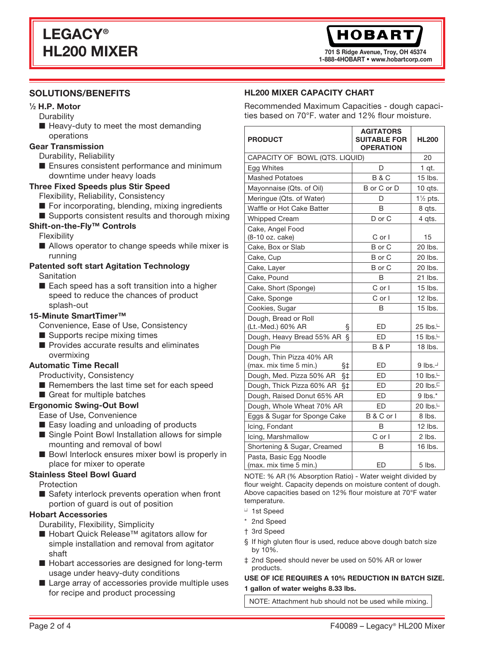701 S Ridge Avenue, Troy, OH 45374 1-888-4HOBART • www.hobartcorp.com

## SOLUTIONS/BENEFITS

## 1 ⁄2 H.P. Motor

- **Durability**
- Heavy-duty to meet the most demanding operations

## Gear Transmission

- Durability, Reliability
- Ensures consistent performance and minimum downtime under heavy loads

## Three Fixed Speeds plus Stir Speed

- Flexibility, Reliability, Consistency
- For incorporating, blending, mixing ingredients
- Supports consistent results and thorough mixing

## Shift-on-the-Fly™ Controls

Flexibility

■ Allows operator to change speeds while mixer is running

#### Patented soft start Agitation Technology Sanitation

■ Each speed has a soft transition into a higher speed to reduce the chances of product splash-out

## 15-Minute SmartTimer™

Convenience, Ease of Use, Consistency

- Supports recipe mixing times
- Provides accurate results and eliminates overmixing

## Automatic Time Recall

- Productivity, Consistency
- Remembers the last time set for each speed
- Great for multiple batches

#### Ergonomic Swing-Out Bowl

- Ease of Use, Convenience
- Easy loading and unloading of products
- Single Point Bowl Installation allows for simple mounting and removal of bowl
- Bowl Interlock ensures mixer bowl is properly in place for mixer to operate

#### Stainless Steel Bowl Guard

Protection

■ Safety interlock prevents operation when front portion of guard is out of position

#### Hobart Accessories

Durability, Flexibility, Simplicity

- Hobart Quick Release<sup>™</sup> agitators allow for simple installation and removal from agitator shaft
- Hobart accessories are designed for long-term usage under heavy-duty conditions
- Large array of accessories provide multiple uses for recipe and product processing

## HL200 MIXER CAPACITY CHART

Recommended Maximum Capacities - dough capacities based on 70°F. water and 12% flour moisture.

| <b>PRODUCT</b>                                           | <b>AGITATORS</b><br><b>SUITABLE FOR</b><br><b>OPERATION</b> | <b>HL200</b>          |
|----------------------------------------------------------|-------------------------------------------------------------|-----------------------|
|                                                          | CAPACITY OF BOWL (QTS. LIQUID)                              |                       |
| Egg Whites                                               | D                                                           | $1$ qt.               |
| <b>Mashed Potatoes</b>                                   | <b>B&amp;C</b>                                              | 15 lbs.               |
| Mayonnaise (Qts. of Oil)                                 | B or C or D                                                 | 10 qts.               |
| Meringue (Qts. of Water)                                 | D                                                           | $1\frac{1}{2}$ pts.   |
| Waffle or Hot Cake Batter                                | B                                                           | 8 qts.                |
| <b>Whipped Cream</b>                                     | D or C                                                      | 4 qts.                |
| Cake, Angel Food<br>(8-10 oz. cake)                      | C or I                                                      | 15                    |
| Cake, Box or Slab                                        | B or C                                                      | 20 lbs.               |
| Cake, Cup                                                | B or C                                                      | 20 lbs.               |
| Cake, Layer                                              | B or C                                                      | 20 lbs.               |
| Cake, Pound                                              | B                                                           | 21 lbs.               |
| Cake, Short (Sponge)                                     | $C$ or $I$                                                  | 15 lbs.               |
| Cake, Sponge                                             | C or I                                                      | $12$ lbs.             |
| Cookies, Sugar                                           | B                                                           | 15 lbs.               |
| Dough, Bread or Roll<br>(Lt.-Med.) 60% AR<br>§           | ED                                                          | 25 lbs. $\Box$        |
| ş<br>Dough, Heavy Bread 55% AR                           | ED                                                          | 15 lbs. $\Box$        |
| Dough Pie                                                | <b>B&amp;P</b>                                              | 18 lbs.               |
| Dough, Thin Pizza 40% AR<br>(max. mix time 5 min.)<br>§‡ | <b>ED</b>                                                   | $9$ lbs.              |
| Dough, Med. Pizza 50% AR<br>$§$ ‡                        | <b>ED</b>                                                   | 10 lbs. <sup>[]</sup> |
| Dough, Thick Pizza 60% AR<br>§‡                          | <b>ED</b>                                                   | 20 lbs.               |
| Dough, Raised Donut 65% AR                               | ED                                                          | $9$ lbs. $*$          |
| Dough, Whole Wheat 70% AR                                | ED                                                          | 20 lbs. $\Box$        |
| Eggs & Sugar for Sponge Cake                             | B & C or I                                                  | 8 lbs.                |
| Icing, Fondant                                           | B                                                           | 12 lbs.               |
| Icing, Marshmallow                                       | C or I                                                      | 2 lbs.                |
| Shortening & Sugar, Creamed                              | B                                                           | 16 lbs.               |
| Pasta, Basic Egg Noodle<br>(max. mix time 5 min.)        | ED                                                          | 5 lbs.                |

NOTE: % AR (% Absorption Ratio) - Water weight divided by flour weight. Capacity depends on moisture content of dough. Above capacities based on 12% flour moisture at 70°F water temperature.

- 1st Speed
- \* 2nd Speed
- † 3rd Speed
- § If high gluten flour is used, reduce above dough batch size by 10%.
- ‡ 2nd Speed should never be used on 50% AR or lower products.

#### USE OF ICE REQUIRES A 10% REDUCTION IN BATCH SIZE. 1 gallon of water weighs 8.33 lbs.

NOTE: Attachment hub should not be used while mixing.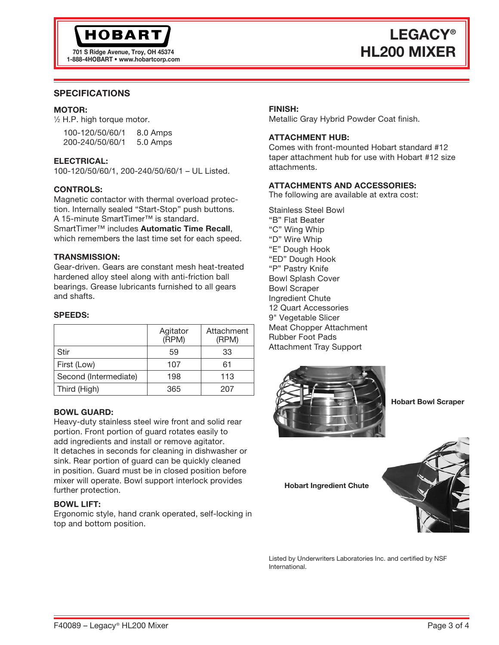

701 S Ridge Avenue, Troy, OH 45374 1-888-4HOBART • www.hobartcorp.com

# LEGACY® HL200 MIXER

## SPECIFICATIONS

#### MOTOR:

1 ⁄2 H.P. high torque motor.

| 100-120/50/60/1 | 8.0 Amps |
|-----------------|----------|
| 200-240/50/60/1 | 5.0 Amps |

#### ELECTRICAL:

100-120/50/60/1, 200-240/50/60/1 – UL Listed.

#### CONTROLS:

Magnetic contactor with thermal overload protection. Internally sealed "Start-Stop" push buttons. A 15-minute SmartTimer™ is standard. SmartTimer™ includes Automatic Time Recall. which remembers the last time set for each speed.

#### TRANSMISSION:

Gear-driven. Gears are constant mesh heat-treated hardened alloy steel along with anti-friction ball bearings. Grease lubricants furnished to all gears and shafts.

#### SPEEDS:

|                       | Agitator<br>(RPM) | Attachment<br>(RPM) |
|-----------------------|-------------------|---------------------|
| <b>Stir</b>           | 59                | 33                  |
| First (Low)           | 107               | 61                  |
| Second (Intermediate) | 198               | 113                 |
| Third (High)          | 365               | 207                 |

#### BOWL GUARD:

Heavy-duty stainless steel wire front and solid rear portion. Front portion of guard rotates easily to add ingredients and install or remove agitator. It detaches in seconds for cleaning in dishwasher or sink. Rear portion of guard can be quickly cleaned in position. Guard must be in closed position before mixer will operate. Bowl support interlock provides further protection.

#### BOWL LIFT:

Ergonomic style, hand crank operated, self-locking in top and bottom position.

#### FINISH:

Metallic Gray Hybrid Powder Coat finish.

#### ATTACHMENT HUB:

Comes with front-mounted Hobart standard #12 taper attachment hub for use with Hobart #12 size attachments.

## ATTACHMENTS AND ACCESSORIES:

The following are available at extra cost:

Stainless Steel Bowl "B" Flat Beater "C" Wing Whip "D" Wire Whip "E" Dough Hook "ED" Dough Hook "P" Pastry Knife Bowl Splash Cover Bowl Scraper Ingredient Chute 12 Quart Accessories 9" Vegetable Slicer Meat Chopper Attachment Rubber Foot Pads Attachment Tray Support



Hobart Bowl Scraper

Hobart Ingredient Chute



Listed by Underwriters Laboratories Inc. and certified by NSF International.